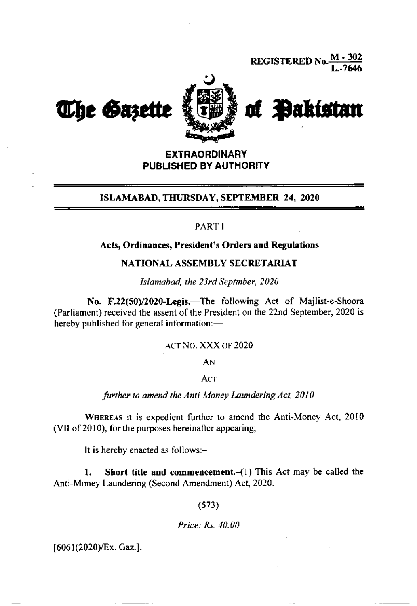**REGISTERED No.** 



# **EXTRAORDINARY** PUBLISHED BY AUTHORITY

# ISLAMABAD, THURSDAY, SEPTEMBER 24, 2020

### **PART I**

### Acts, Ordinances, President's Orders and Regulations

## NATIONAL ASSEMBLY SECRETARIAT

Islamahad, the 23rd Septmber, 2020

No. F.22(50)/2020-Legis.-The following Act of Majlist-e-Shoora (Parliament) received the assent of the President on the 22nd September, 2020 is hereby published for general information:-

ACT NO. XXX OF 2020

AN

Act

further to amend the Anti-Money Laundering Act, 2010

WHEREAS it is expedient further to amend the Anti-Money Act, 2010 (VII of 2010), for the purposes hereinafter appearing;

It is hereby enacted as follows:-

Short title and commencement. $-(1)$  This Act may be called the 1. Anti-Money Laundering (Second Amendment) Act, 2020.

 $(573)$ 

Price: Rs. 40.00

[6061(2020)/Ex. Gaz.].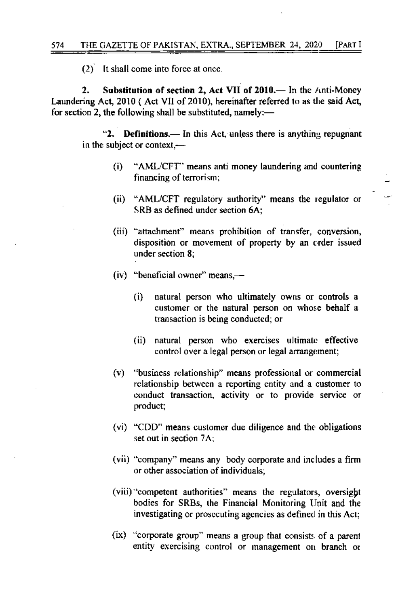$(2)$  It shall come into force at once.

 $2.$ Substitution of section 2, Act VII of 2010.— In the Anti-Money Laundering Act, 2010 (Act VII of 2010), hereinafter referred to as the said Act, for section 2, the following shall be substituted, namely:—

"2. Definitions.— In this Act, unless there is anything repugnant in the subject or context,-

- $(i)$ "AML/CFT" means anti money laundering and countering financing of terrorism;
- $(ii)$ "AML/CFT regulatory authority" means the regulator or SRB as defined under section 6A:
- (iii) "attachment" means prohibition of transfer, conversion, disposition or movement of property by an crder issued under section 8:
- $(iv)$  "beneficial owner" means,—
	- $(i)$ natural person who ultimately owns or controls a customer or the natural person on whose behalf a transaction is being conducted; or
	- (ii) natural person who exercises ultimate effective control over a legal person or legal arrangement;
- (v) "business relationship" means professional or commercial relationship between a reporting entity and a customer to conduct transaction, activity or to provide service or product;
- (vi) "CDD" means customer due diligence and the obligations set out in section 7A:
- (vii) "company" means any body corporate and includes a firm or other association of individuals;
- (viii) competent authorities" means the regulators, oversight bodies for SRBs, the Financial Monitoring Unit and the investigating or prosecuting agencies as defined in this Act;
- (ix) "corporate group" means a group that consists of a parent entity exercising control or management on branch or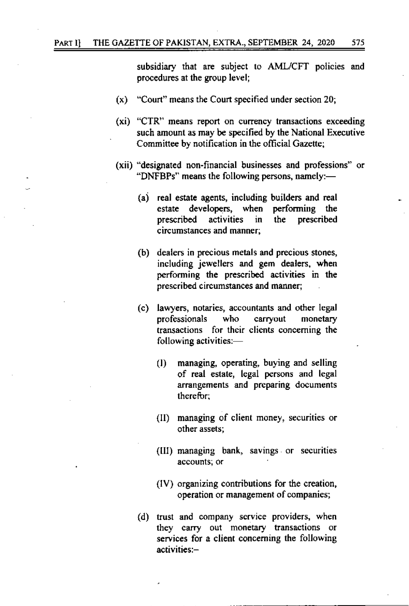subsidiary that are subject to AML/CFT policies and procedures at the group level;

- $(x)$  "Court" means the Court specified under section 20;
- (xi) "CTR" means report on currency transactions exceeding such amount as may be specified by the National Executive Committee by notification in the official Gazette;
- (xii) "designated non-financial businesses and professions" or "DNFBPs" means the following persons, namely:—
	- (a) real estate agents, including builders and real estate developers, when performing the prescribed activities the prescribed in circumstances and manner:
	- (b) dealers in precious metals and precious stones, including jewellers and gem dealers, when performing the prescribed activities in the prescribed circumstances and manner;
	- (c) lawyers, notaries, accountants and other legal professionals who carryout monetary transactions for their clients concerning the following activities:
		- managing, operating, buying and selling  $(1)$ of real estate, legal persons and legal arrangements and preparing documents therefor:
		- (II) managing of client money, securities or other assets:
		- (III) managing bank, savings or securities accounts; or
		- (IV) organizing contributions for the creation, operation or management of companies;
	- (d) trust and company service providers, when they carry out monetary transactions or services for a client concerning the following activities:-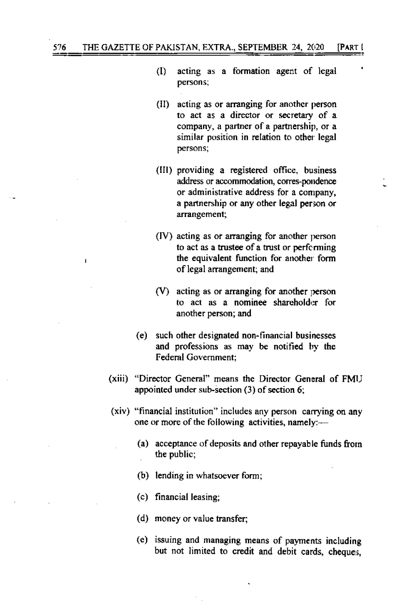- $\rm(D)$ acting as a formation agent of legal persons;
- (II) acting as or arranging for another person to act as a director or secretary of a company, a partner of a partnership, or a similar position in relation to other legal persons;
- (III) providing a registered office, business address or accommodation, corres-pondence or administrative address for a company, a partnership or any other legal person or arrangement;
- (IV) acting as or arranging for another person to act as a trustee of a trust or performing the equivalent function for another form of legal arrangement; and
- $(V)$  acting as or arranging for another person to act as a nominee shareholder for another person; and
- (e) such other designated non-financial businesses and professions as may be notified by the **Federal Government:**
- (xiii) "Director General" means the Director General of FMIJ appointed under sub-section (3) of section 6;
- (xiv) "financial institution" includes any person carrying on any one or more of the following activities, namely:-
	- (a) acceptance of deposits and other repayable funds from the public;
	- (b) lending in whatsoever form;
	- (c) financial leasing;
	- (d) money or value transfer;
	- (e) issuing and managing means of payments including but not limited to credit and debit cards, cheques,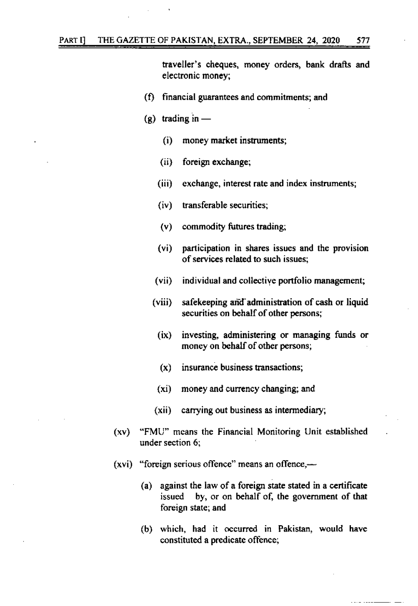traveller's cheques, money orders, bank drafts and electronic money:

- (f) financial guarantees and commitments; and
- (g) trading in  $$ 
	- money market instruments;  $(i)$
	- $(ii)$ foreign exchange;
	- (iii) exchange, interest rate and index instruments;
	- $(iv)$ transferable securities:
	- (v) commodity futures trading;
	- participation in shares issues and the provision  $(v_i)$ of services related to such issues;
	- individual and collective portfolio management;  $(vii)$
	- $(viii)$ safekeeping and administration of cash or liquid securities on behalf of other persons;
		- $(ix)$ investing, administering or managing funds or money on behalf of other persons;
		- $(x)$ insurance business transactions;
		- money and currency changing; and  $(x_i)$
	- carrying out business as intermediary;  $(xii)$
- "FMU" means the Financial Monitoring Unit established  $(xv)$ under section 6:
- $(xvi)$  "foreign serious offence" means an offence,—
	- (a) against the law of a foreign state stated in a certificate by, or on behalf of, the government of that issued foreign state; and
	- (b) which, had it occurred in Pakistan, would have constituted a predicate offence;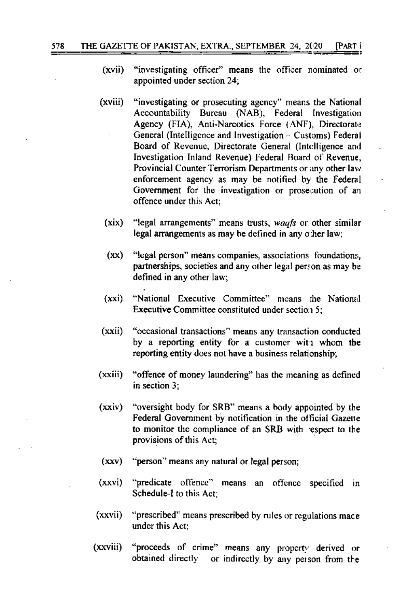- "investigating officer" means the officer nominated or  $(xvii)$ appointed under section 24;
- $(xviii)$ "investigating or prosecuting agency" means the National Accountability Bureau (NAB), Federal Investigation Agency (FIA), Anti-Narcotics Force (ANF), Directorate General (Intelligence and Investigation – Customs) Federal Board of Revenue, Directorate General (Intelligence and Investigation Inland Revenue) Federal Board of Revenue, Provincial Counter Terrorism Departments or any other law enforcement agency as may be notified by the Federal Government for the investigation or prosecution of an offence under this Act:
	- (xix) "legal arrangements" means trusts, waafs or other similar legal arrangements as may be defined in any other law;
	- $(xx)$ "legal person" means companies, associations foundations, partnerships, societies and any other legal person as may be defined in any other law;
	- "National Executive Committee" means the National  $(xxi)$ Executive Committee constituted under section 5;
- $(xxi)$ "occasional transactions" means any transaction conducted by a reporting entity for a customer with whom the reporting entity does not have a business relationship;
- (xxiii) "offence of money laundering" has the meaning as defined in section  $3$ :
- $(xxiv)$ "oversight body for SRB" means a body appointed by the Federal Government by notification in the official Gazette to monitor the compliance of an SRB with respect to the provisions of this Act;
- $(xxy)$ "person" means any natural or legal person;
- "predicate offence" means an offence specified in  $(xxvi)$ Schedule-I to this Act:
- (xxvii) "prescribed" means prescribed by rules or regulations mace under this Act:
- (xxviii) "proceeds of crime" means any property derived or obtained directly or indirectly by any person from the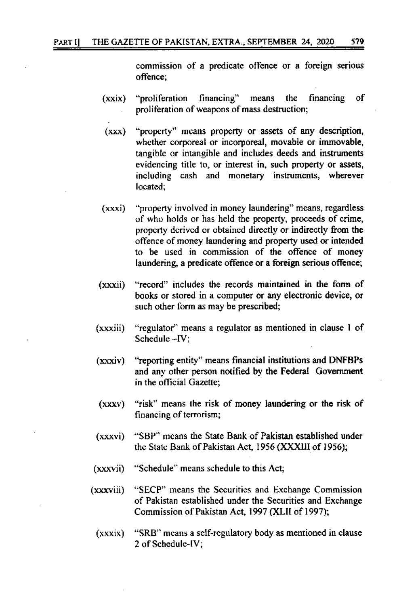commission of a predicate offence or a foreign serious offence:

579

- "proliferation financing" financing οf means the  $(xxix)$ proliferation of weapons of mass destruction;
- $(xxx)$ "property" means property or assets of any description, whether corporeal or incorporeal, movable or immovable, tangible or intangible and includes deeds and instruments evidencing title to, or interest in, such property or assets, including cash and monetary instruments, wherever located:
- "property involved in money laundering" means, regardless (xxxi) of who holds or has held the property, proceeds of crime, property derived or obtained directly or indirectly from the offence of money laundering and property used or intended to be used in commission of the offence of money laundering, a predicate offence or a foreign serious offence;
- "record" includes the records maintained in the form of  $(xxxii)$ books or stored in a computer or any electronic device, or such other form as may be prescribed;
- "regulator" means a regulator as mentioned in clause 1 of (xxxiii) Schedule  $-\text{IV}$ :
- "reporting entity" means financial institutions and DNFBPs  $(xxxiv)$ and any other person notified by the Federal Government in the official Gazette;
- "risk" means the risk of money laundering or the risk of  $(xxxv)$ financing of terrorism;
- "SBP" means the State Bank of Pakistan established under (xxxvi) the State Bank of Pakistan Act, 1956 (XXXIII of 1956);
- (xxxvii) "Schedule" means schedule to this Act:
- (xxxviii) "SECP" means the Securities and Exchange Commission of Pakistan established under the Securities and Exchange Commission of Pakistan Act, 1997 (XLII of 1997);
	- "SRB" means a self-regulatory body as mentioned in clause (xxxix) 2 of Schedule-IV;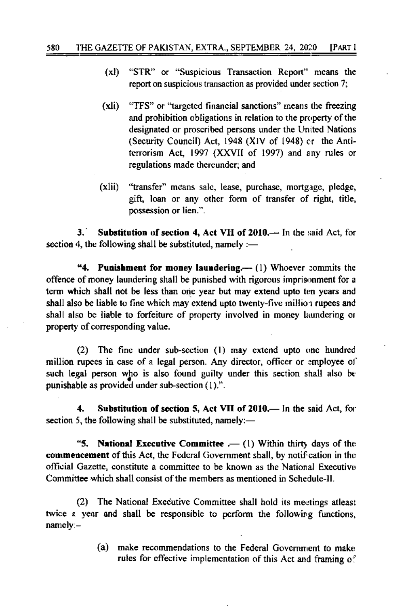- $(x)$ "STR" or "Suspicious Transaction Report" means the report on suspicious transaction as provided under section 7:
- "TFS" or "targeted financial sanctions" means the freezing  $(xli)$ and prohibition obligations in relation to the property of the designated or proscribed persons under the United Nations (Security Council) Act. 1948 (XIV of 1948) er the Antiterrorism Act, 1997 (XXVII of 1997) and any rules or regulations made thereunder; and
- $(xli)$ "transfer" means sale, lease, purchase, mortgage, pledge, gift, loan or any other form of transfer of right, title, possession or lien.".

 $3<sup>2</sup>$ Substitution of section 4, Act VII of 2010.— In the said Act, for section 4, the following shall be substituted, namely  $:=$ 

"4. Punishment for money laundering.— (1) Whoever commits the offence of money laundering shall be punished with rigorous imprisonment for a term which shall not be less than one year but may extend upto ten years and shall also be liable to fine which may extend upto twenty-five million rupees and shall also be liable to forfeiture of property involved in money laundering or property of corresponding value.

(2) The fine under sub-section (1) may extend upto one hundred million rupees in case of a legal person. Any director, officer or employee of such legal person who is also found guilty under this section shall also be punishable as provided under sub-section  $(1)$ .".

 $4.$ Substitution of section 5, Act VII of 2010.— In the said Act, for section 5, the following shall be substituted, namely:-

**National Executive Committee**  $. - (1)$  Within thirty days of the "5. commencement of this Act, the Federal Government shall, by notification in the official Gazette, constitute a committee to be known as the National Executive Committee which shall consist of the members as mentioned in Schedule-II.

(2) The National Executive Committee shall hold its meetings at least twice a year and shall be responsible to perform the following functions. namely:-

> $(a)$ make recommendations to the Federal Government to make rules for effective implementation of this Act and framing of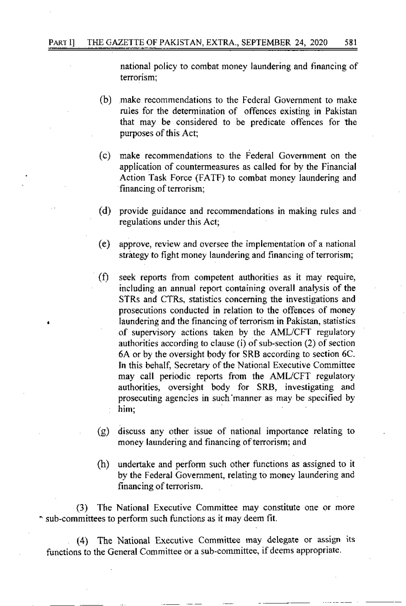national policy to combat money Iaundering and financing of terorism:

- (b) make recommendations to the Federal Govemment to make rules for the determination of offences existing in Pakistan that may be considered to be predicate offences for the purposes of this Act;
- (c) make recornmendations to the Federal Government on the application of countermeasures as called for by the Financial Action Task Force (FATF) to combat money laundering and financing of terrorism;
- (d) provide guidance and recommendations in making rules and regulations under this Acl;
- $(e)$  approve, review and oversee the implementation of a national strategy to fight money laundering and financing of terrorism;
- (f) seek reports from competent authorities as it may require, including an annual report containing overall analysis of the STRS and CTRS, statistics conceming the investigations and prosecutions conducted in relation to the offences of money laundering and the financing of terrorism in Pakistan, statistics of supervisory actions taken by the AML/CFT regulatory authorities according to clause (i) of sub-section  $(2)$  of section 6A or by the oversight body for SRB according to section 6C. In this behalf, Secretary of the National Executive Committee may call periodic reports from the AML/CFT regulatory authorities, oversight body for SRB, investigating and prosecuting agencies in such manner as may be specified by him;
- (g) discuss any other issue of national importance relating to money laundering and financing of terrorism; and
- (h) undertake and perform such other functions as assigned to it by the Federal Govemment, relating to money laundering and financing of terrorism.

(3) The National Executive Committee may constitute one or more ^ sub-committees to perform such funclions as it may deem fit.

(4) The National Executive Committee may delegate or assign its functions to the General Committee or a sub-committee, if deems appropriate.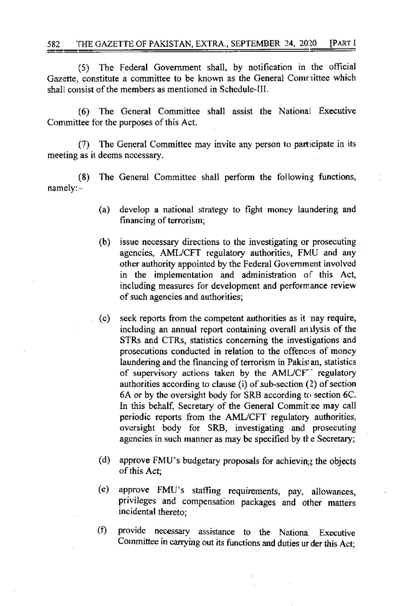$(5)$ The Federal Government shall, by notification in the official Gazette, constitute a committee to be known as the General Comrittee which shall consist of the members as mentioned in Schedule-III.

The General Committee shall assist the National Executive  $(6)$ Committee for the purposes of this Act.

(7) The General Committee may invite any person to participate in its meeting as it deems necessary.

The General Committee shall perform the following functions,  $(8)$  $namely: -$ 

- (a) develop a national strategy to fight money laundering and financing of terrorism;
- $(b)$ issue necessary directions to the investigating or prosecuting agencies, AML/CFT regulatory authorities, FMU and any other authority appointed by the Federal Government involved in the implementation and administration of this Act, including measures for development and performance review of such agencies and authorities;
- $(c)$ seek reports from the competent authorities as it nay require, including an annual report containing overall analysis of the STRs and CTRs, statistics concerning the investigations and prosecutions conducted in relation to the offences of money laundering and the financing of terrorism in Pakistan, statistics of supervisory actions taken by the AML/CFT regulatory authorities according to clause (i) of sub-section (2) of section 6A or by the oversight body for SRB according to section 6C. In this behalf, Secretary of the General Committee may call periodic reports from the AML/CFT regulatory authorities. oversight body for SRB, investigating and prosecuting agencies in such manner as may be specified by the Secretary;
- (d) approve FMU's budgetary proposals for achieving the objects of this Act:
- approve FMU's staffing requirements, pay, allowances,  $(e)$ privileges and compensation packages and other matters incidental thereto:
- $(f)$ provide necessary assistance to the National Executive Committee in carrying out its functions and duties ur der this Act;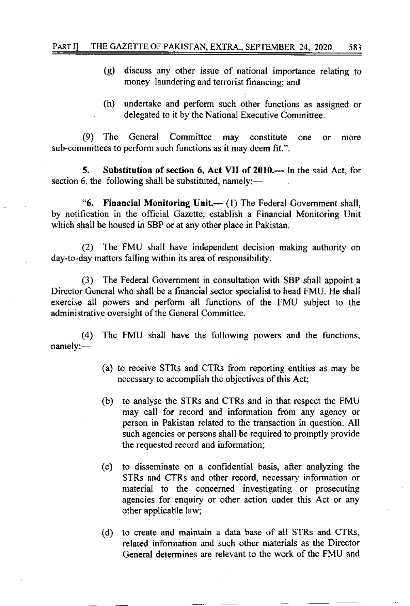- (g) discuss any other issue of national importance relating to money laundering and terrorist financing; and
- (h) undertake and perform such other functions as assigned or delegated to it by the National Executive Committee.

(9) 'l'he General Committee may constitute one or more sub-committees to perform such functions as it may deem fit.".

5. Substitution of section 6, Act VII of 2010.— In the said Act, for section 6, the following shall be substituted, namely:—

"6. Financial Monitoring Unit.--  $(1)$  The Federal Government shall, by notification in the offrcial Gazette, establish a Financial Monitoring Unit which shall be housed in SBP or at any other place in Pakistan.

(2) The FMU shall have independent decision making authority on day-to-day matters falling within its area of responsibility.

(3) The Federal Covemment in consultation with SBP shall appoint <sup>a</sup> Director General who shall be a financial sector specialist to head FMU. He shall exercise all powers ard perform all functions of the FMU subject to the administrative oversight of the General Committee.

(4) The FMU shall have the following powers and the functions, namely:

- (a) to receive STRs and CTRs from reporting entities as may be necessary to accomplish the objectives of this Act;
- (b) to analyse the STRS and CTRS and in that respect the FMLi may call for record and information ftom any agency or person in Pakistan related to the transaction in question. All such agencies or persons shall be required to promptly provide the requested record and information;
- (c) to disseminate on a confidential basis, after analyzing the STRS and CTRS and other record, necessary information or material to the concemed investigating or prosecuting agencies for enquiry or other action under this Act or any other applicable law;
- (d) to create and maintain a data base of all STRS and CTR5, related information and such other materials as the Director General determines are relevant to the work of the FMU and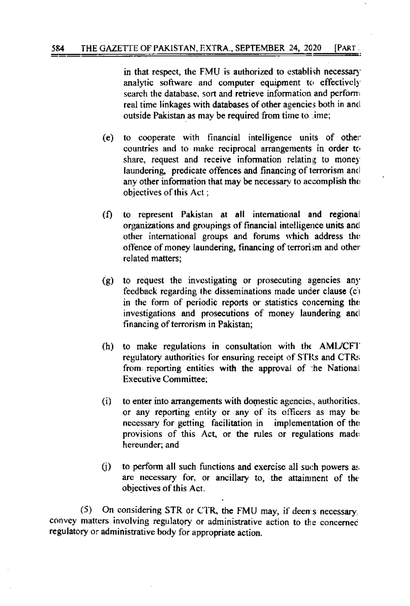in that respect, the FMU is authorized to establish necessary analytic software and computer equipment to effectively search the database, sort and retrieve information and perform real time linkages with databases of other agencies both in and outside Pakistan as may be required from time to time;

- to cooperate with financial intelligence units of other (e) countries and to make reciprocal arrangements in order to share, request and receive information relating to money laundering, predicate offences and financing of terrorism and any other information that may be necessary to accomplish the objectives of this Act:
- to represent Pakistan at all international and regional M. organizations and groupings of financial intelligence units and other international groups and forums which address the offence of money laundering, financing of terrorism and other related matters:
- to request the investigating or prosecuting agencies any  $\left( \mathbf{g} \right)$ feedback regarding the disseminations made under clause  $(c)$ in the form of periodic reports or statistics concerning the investigations and prosecutions of money laundering and financing of terrorism in Pakistan;
- $(h)$ to make regulations in consultation with the AML/CFT regulatory authorities for ensuring receipt of STRs and CTRs from reporting entities with the approval of the National **Executive Committee:**
- $(i)$ to enter into arrangements with domestic agencies, authorities, or any reporting entity or any of its officers as may be necessary for getting facilitation in implementation of the provisions of this Act, or the rules or regulations made hereunder; and
- $(i)$ to perform all such functions and exercise all such powers as are necessary for, or ancillary to, the attainment of the objectives of this Act.

On considering STR or CTR, the FMU may, if deems necessary.  $(5)$ convey matters involving regulatory or administrative action to the concerned regulatory or administrative body for appropriate action.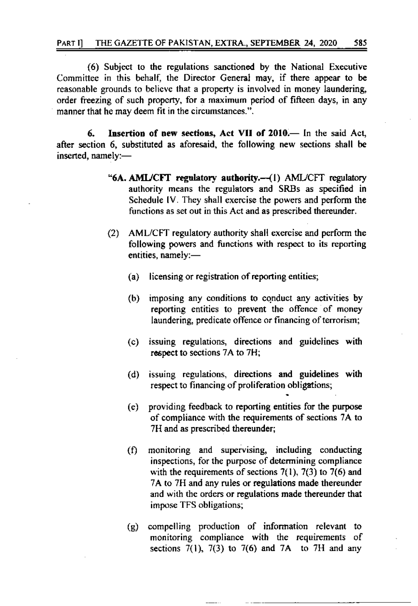(6) Subject to the regulations sanctioned by the National Executive Committee in this behalf, the Director General may, if there appear to be reasonable grounds to believe that a property is involved in money laundering, order freezing of such property, for a maximum period of fifteen days, in any manner that he may deem fit in the circumstances.".

6. Insertion of new sections, Act VII of 2010.— In the said Act, after section 6, substituted as aforesaid, the following new sections shall be inserted, namely:-

- "6A. AML/CFT regulatory authority.-- (1) AML/CFT regulatory authority means the regulators and SRBs as specified in Schedule IV. They shall exercise the powers and perform the functions as set out in this Act and as prescribed thereunder.
- AML/CFT regulatory authority shall exercise and perform the  $(2)$ following powers and functions with respect to its reporting entities, namely:
	- licensing or registration of reporting entities;  $(a)$
	- imposing any conditions to conduct any activities by (b) reporting entities to prevent the offence of money laundering, predicate offence or financing of terrorism;
	- $(c)$ issuing regulations, directions and guidelines with respect to sections 7A to 7H;
	- issuing regulations, directions and guidelines with  $(d)$ respect to financing of proliferation obligations;
	- providing feedback to reporting entities for the purpose  $(e)$ of compliance with the requirements of sections 7A to 7H and as prescribed thereunder;
	- monitoring and supervising, including conducting  $(f)$ inspections, for the purpose of determining compliance with the requirements of sections  $7(1)$ ,  $7(3)$  to  $7(6)$  and 7A to 7H and any rules or regulations made thereunder and with the orders or regulations made thereunder that impose TFS obligations;
	- compelling production of information relevant to  $(g)$ monitoring compliance with the requirements of sections  $7(1)$ ,  $7(3)$  to  $7(6)$  and  $7A$  to  $7H$  and any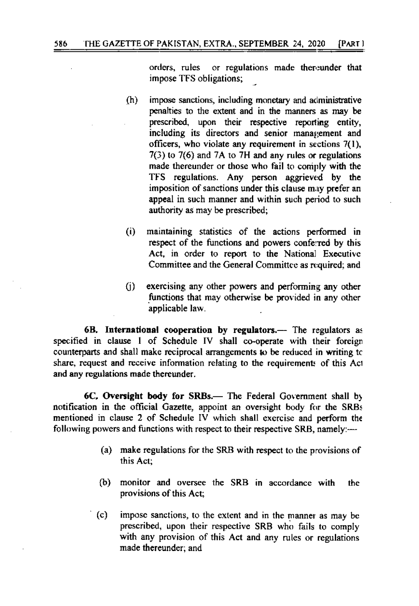or regulations made thereunder that orders, rules impose TFS obligations:

- $(h)$ impose sanctions, including monetary and administrative penalties to the extent and in the manners as may be prescribed, upon their respective reporting entity, including its directors and senior management and officers, who violate any requirement in sections 7(1).  $7(3)$  to  $7(6)$  and  $7A$  to  $7H$  and any rules or regulations made thereunder or those who fail to comply with the TFS regulations. Any person aggrieved by the imposition of sanctions under this clause may prefer an appeal in such manner and within such period to such authority as may be prescribed;
- $(i)$ maintaining statistics of the actions performed in respect of the functions and powers conferred by this Act, in order to report to the National Executive Committee and the General Committee as required; and
- exercising any other powers and performing any other (i) functions that may otherwise be provided in any other applicable law.

6B. International cooperation by regulators.— The regulators as specified in clause 1 of Schedule IV shall co-operate with their foreign counterparts and shall make reciprocal arrangements to be reduced in writing to share, request and receive information relating to the requirements of this Act and any regulations made thereunder.

6C. Oversight body for SRBs.— The Federal Government shall by notification in the official Gazette, appoint an oversight body for the SRBs mentioned in clause 2 of Schedule IV which shall exercise and perform the following powers and functions with respect to their respective SRB, namely:-

- (a) make regulations for the SRB with respect to the provisions of this Act:
- monitor and oversee the SRB in accordance with (b) the provisions of this Act;
- $(c)$ impose sanctions, to the extent and in the manner as may be prescribed, upon their respective SRB who fails to comply with any provision of this Act and any rules or regulations made thereunder; and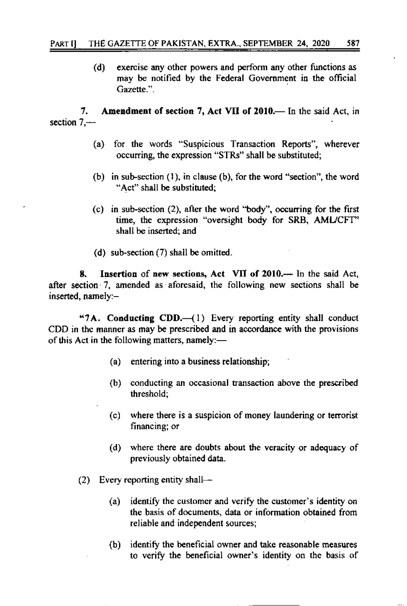$(d)$ exercise any other powers and perform any other functions as may be notified by the Federal Government in the official Gazette<sup>32</sup>

Amendment of section 7, Act VII of 2010. In the said Act, in 7. section  $7.$ —–

- for the words "Suspicious Transaction Reports", wherever  $(a)$ occurring, the expression "STRs" shall be substituted;
- (b) in sub-section (1), in clause (b), for the word "section", the word "Act" shall be substituted;
- (c) in sub-section (2), after the word "body", occurring for the first time, the expression "oversight body for SRB, AML/CFT" shall be inserted; and
- (d) sub-section (7) shall be omitted.

Insertion of new sections, Act VII of 2010.— In the said Act, 8. after section 7, amended as aforesaid, the following new sections shall be inserted, namely:-

"7A. Conducting CDD.-(1) Every reporting entity shall conduct CDD in the manner as may be prescribed and in accordance with the provisions of this Act in the following matters, namely:-

- (a) entering into a business relationship;
- (b) conducting an occasional transaction above the prescribed threshold:
- (c) where there is a suspicion of money laundering or terrorist financing; or
- (d) where there are doubts about the veracity or adequacy of previously obtained data.
- (2) Every reporting entity shall-
	- identify the customer and verify the customer's identity on  $(a)$ the basis of documents, data or information obtained from reliable and independent sources;
	- identify the beneficial owner and take reasonable measures  $(b)$ to verify the beneficial owner's identity on the basis of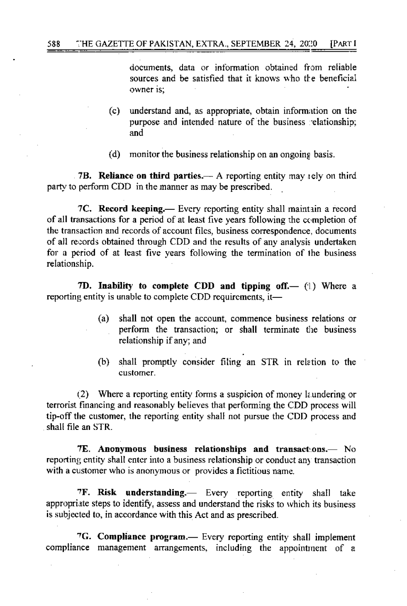documents, data or information obtained from reliable sources and be satisfied that it knows who the beneficial owner is:

- $(c)$ understand and, as appropriate, obtain information on the purpose and intended nature of the business relationship; and
- (d) monitor the business relationship on an ongoing basis.

7B. Reliance on third parties.— A reporting entity may rely on third party to perform CDD in the manner as may be prescribed.

7C. Record keeping.— Every reporting entity shall maintain a record of all transactions for a period of at least five years following the completion of the transaction and records of account files, business correspondence, documents of all records obtained through CDD and the results of any analysis undertaken for a period of at least five years following the termination of the business relationship.

7D. Inability to complete CDD and tipping off.  $-$  (1) Where a reporting entity is unable to complete CDD requirements, it—

- $(a)$ shall not open the account, commence business relations or perform the transaction; or shall terminate the business relationship if any; and
- shall promptly consider filing an STR in relation to the  $(b)$ customer.

(2) Where a reporting entity forms a suspicion of money laundering or terrorist financing and reasonably believes that performing the CDD process will tip-off the customer, the reporting entity shall not pursue the CDD process and shall file an STR.

7E. Anonymous business relationships and transactions.— No reporting entity shall enter into a business relationship or conduct any transaction with a customer who is anonymous or provides a fictitious name.

7F. Risk understanding. Every reporting entity shall take appropriate steps to identify, assess and understand the risks to which its business is subjected to, in accordance with this Act and as prescribed.

7G. Compliance program.— Every reporting entity shall implement compliance management arrangements, including the appointment of a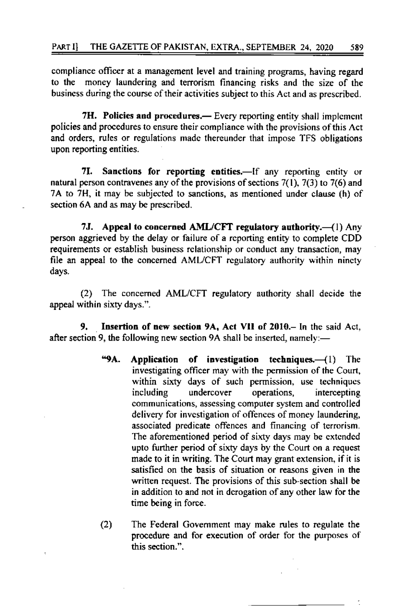compliance officer at a management level and training programs, having regard money laundering and terrorism financing risks and the size of the to the business during the course of their activities subject to this Act and as prescribed.

7H. Policies and procedures.— Every reporting entity shall implement policies and procedures to ensure their compliance with the provisions of this Act and orders, rules or regulations made thereunder that impose TFS obligations upon reporting entities.

7I. Sanctions for reporting entities.-If any reporting entity or natural person contravenes any of the provisions of sections  $7(1)$ ,  $7(3)$  to  $7(6)$  and 7A to 7H, it may be subjected to sanctions, as mentioned under clause (h) of section 6A and as may be prescribed.

7J. Appeal to concerned AML/CFT regulatory authority.—(1) Any person aggrieved by the delay or failure of a reporting entity to complete CDD requirements or establish business relationship or conduct any transaction, may file an appeal to the concerned AML/CFT regulatory authority within ninety days.

 $(2)$ The concerned AML/CFT regulatory authority shall decide the appeal within sixty days.".

Insertion of new section 9A, Act VII of 2010.- In the said Act, 9. after section 9, the following new section 9A shall be inserted, namely:-

- "9А. Application of investigation techniques. $-(1)$  The investigating officer may with the permission of the Court, within sixty days of such permission, use techniques undercover operations. intercepting including communications, assessing computer system and controlled delivery for investigation of offences of money laundering, associated predicate offences and financing of terrorism. The aforementioned period of sixty days may be extended upto further period of sixty days by the Court on a request made to it in writing. The Court may grant extension, if it is satisfied on the basis of situation or reasons given in the written request. The provisions of this sub-section shall be in addition to and not in derogation of any other law for the time being in force.
- $(2)$ The Federal Government may make rules to regulate the procedure and for execution of order for the purposes of this section.".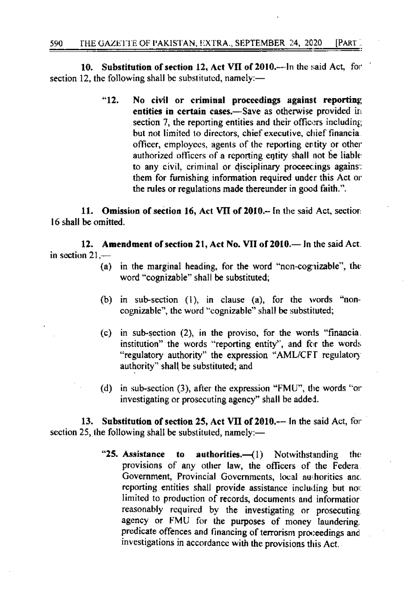10. Substitution of section 12, Act VII of 2010.—In the said Act, for section 12, the following shall be substituted, namely:—

> $"12.$ No civil or criminal proceedings against reporting entities in certain cases.-Save as otherwise provided in section 7, the reporting entities and their officers including but not limited to directors, chief executive, chief financia. officer, employees, agents of the reporting entity or other authorized officers of a reporting entity shall not be liable to any civil, criminal or disciplinary proceedings agains: them for furnishing information required under this Act or the rules or regulations made thereunder in good faith.".

11. Omission of section 16, Act VII of 2010.- In the said Act, section 16 shall be omitted.

12. Amendment of section 21, Act No. VII of 2010. - In the said Act. in section  $21-$ 

- (a) in the marginal heading, for the word "non-cognizable", the word "cognizable" shall be substituted;
- (b) in sub-section  $(1)$ , in clause  $(a)$ , for the words "noncognizable", the word "cognizable" shall be substituted;
- (c) in sub-section (2), in the proviso, for the words "financia. institution" the words "reporting entity", and for the words "regulatory authority" the expression "AML/CFT regulatory authority" shall be substituted; and
- (d) in sub-section (3), after the expression "FMU", the words "or investigating or prosecuting agency" shall be added.

Substitution of section 25, Act VII of 2010.-- In the said Act, for 13. section 25, the following shall be substituted, namely:—

> "25. Assistance  $a$ uthorities. $-(1)$  Notwithstanding to the provisions of any other law, the officers of the Federa. Government, Provincial Governments, local authorities and reporting entities shall provide assistance including but not limited to production of records, documents and informatior reasonably required by the investigating or prosecuting agency or FMU for the purposes of money laundering. predicate offences and financing of terrorism proceedings and investigations in accordance with the provisions this Act.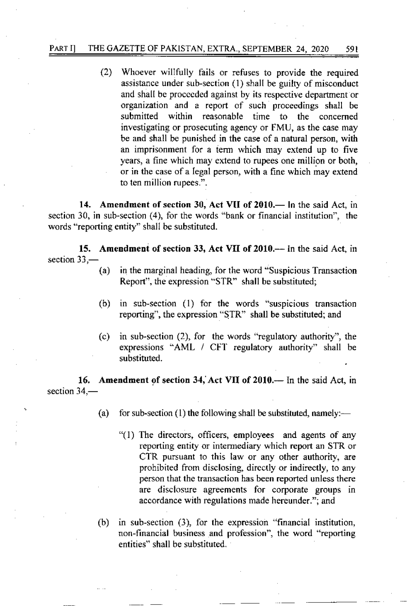#### PART I] THE GAZETTE OF PAKISTAN, EXTRA., SEPTEMBER 24, 2020 591

(2) Whoever willfully fails or rcfuses to provide the required assistance under sub-section (1) shall be guilty of misconduct and shall be proceeded against by its respective department or organization and a report of such proceedings shall be submitted within reasonable time to the concerned investigating or prosecuting agency or FMU, as the case may be and shall be punished in the case of a natural person, with an imprisonment for a term which may extend up to five years, a fine which may cxtend to rupees one million or both, or in the case of a Iegal person, with a 6ne which may extend to ten million rupees.".

14. Amendment of section 30, Act VII of 2010.- In the said Act, in section 30, in sub-section (4), for the words "bank or financial institution'', the words "reporting entity" shall be substituted.

15. Amendment of section 33, Act VII of 2010.-- In the said Act, in section  $33$ , $-$ 

- (a) in the marginal heading, for the word "Suspicious Transaction Report', the expression "STR" shall be substituted;
- $(b)$  in sub-section  $(1)$  for the words "suspicious transaction reporting", the expression "STR" shall be substituted; and
- (c) in sub-section  $(2)$ , for the words "regulatory authority", the expressions "AML / CFT regulatory authority" shall be substituted.

16. Amendment of section 34, Act VII of 2010.- In the said Act, in section  $34-$ 

(a) for sub-section (1) the following shall be substituted, namely:—

- "(1) The directors, officers, employees and agents of any reporting entity or intermediary which report an STR or CTR pursuant to this law or any other authority, are prohibited from disclosing, dircctly or indircctly, to any person that the transaction has been reported unless there are disclosure agreements for corporate groups in accordance with regulations made hereunder."; and
- (b) in sub-section  $(3)$ , for the expression "financial institution, non-financial business and profession", the word "reporting entities" shall be substituted.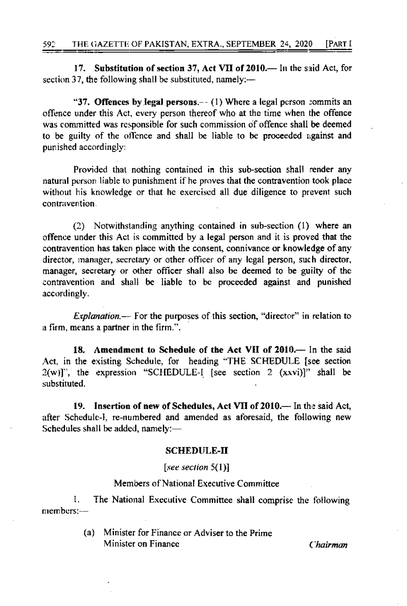17. Substitution of section 37, Act VII of 2010.— In the said Act, for section 37, the following shall be substituted, namely:—

"37. Offences by legal persons.--  $(1)$  Where a legal person commits an offence under this Act, every person thereof who at the time when the offence was committed was responsible for such commission of offence shall be deemed to be guilty of the offence and shall be liable to be proceeded against and punished accordingly:

Provided that nothing contained in this sub-section shall render any natural person liable to punishment if he proves that the contravention took place without his knowledge or that he exercised all due diligence to prevent such contravention.

(2) Notwithstanding anything contained in sub-section (1) where an offence under this Act is committed by a legal person and it is proved that the contravention has taken place with the consent, connivance or knowledge of any director, manager, secretary or other officer of any legal person, such director, manager, secretary or other officer shall also be deemed to be guilty of the contravention and shall be liable to be proceeded against and punished accordingly.

*Explanation*.— For the purposes of this section, "director" in relation to a firm, means a partner in the firm.".

18. Amendment to Schedule of the Act VII of 2010.— In the said Act, in the existing Schedule, for heading "THE SCHEDULE [see section  $2(w)$ ]", the expression "SCHEDULE-I [see section 2  $(xxvi)$ ]" shall be substituted.

19. Insertion of new of Schedules, Act VII of 2010.— In the said Act, after Schedule-I, re-numbered and amended as aforesaid, the following new Schedules shall be added, namely:-

#### **SCHEDULE-II**

[see section  $5(1)$ ]

#### Members of National Executive Committee

The National Executive Committee shall comprise the following L.  $n$ embers: $-$ 

> Minister for Finance or Adviser to the Prime  $(a)$ Minister on Finance

Chairman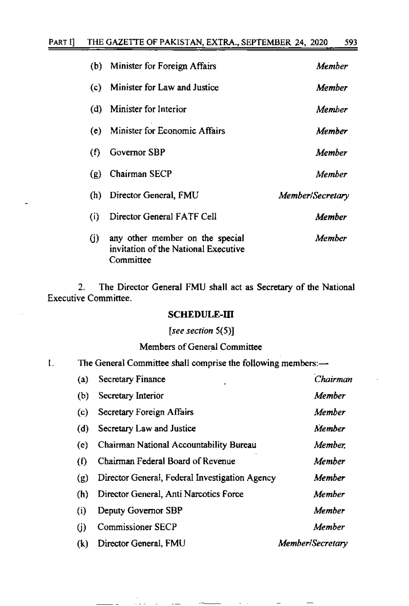| (b) | Minister for Foreign Affairs                                                         | Member           |
|-----|--------------------------------------------------------------------------------------|------------------|
| (c) | Minister for Law and Justice                                                         | Member           |
| (d) | Minister for Interior                                                                | Member           |
| (e) | Minister for Economic Affairs                                                        | Member           |
| (f) | Governor SBP                                                                         | Member           |
| (g) | Chairman SECP                                                                        | Member           |
| (h) | Director General, FMU                                                                | Member/Secretary |
| (i) | Director General FATF Cell                                                           | Member           |
| (j) | any other member on the special<br>invitation of the National Executive<br>Committee | Member           |

The Director General FMU shall act as Secretary of the National  $2.$ **Executive Committee.** 

### SCHEDULE-III

# [see section  $5(5)$ ]

# Members of General Committee

The General Committee shall comprise the following members:- $\mathbf{L}$ 

and the company of

| (a) | Secretary Finance                              | Chairman         |
|-----|------------------------------------------------|------------------|
| (b) | Secretary Interior                             | Member           |
| (c) | Secretary Foreign Affairs                      | Member           |
| (d) | Secretary Law and Justice                      | Member           |
| (e) | Chairman National Accountability Bureau        | Member.          |
| (0) | Chairman Federal Board of Revenue              | Member           |
| (g) | Director General, Federal Investigation Agency | Member           |
| (h) | Director General, Anti Narcotics Force         | Member           |
| (i) | Deputy Governor SBP                            | Member           |
| (j) | <b>Commissioner SECP</b>                       | Member           |
| (k) | Director General, FMU                          | Member/Secretary |

 $\overline{\phantom{0}}$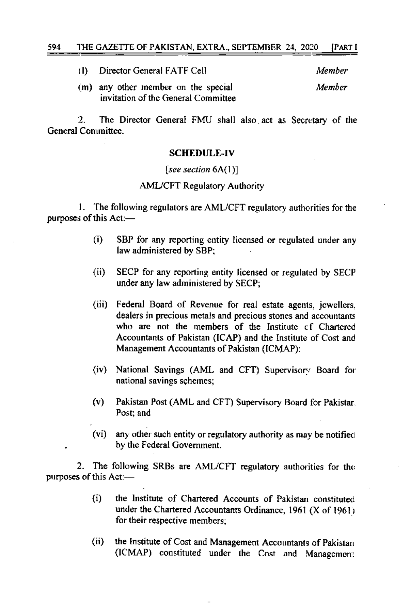| O). | Director General FATF Cell                                                 | Member |
|-----|----------------------------------------------------------------------------|--------|
|     | (m) any other member on the special<br>invitation of the General Committee | Member |

 $\mathcal{P}$ The Director General FMU shall also act as Secretary of the General Committee.

#### **SCHEDULE-IV**

#### [see section  $6A(1)$ ]

### **AML/CFT Regulatory Authority**

1. The following regulators are AML/CFT regulatory authorities for the purposes of this Act:-

- $(i)$ SBP for any reporting entity licensed or regulated under any law administered by SBP:
- $(ii)$ SECP for any reporting entity licensed or regulated by SECP under any law administered by SECP;
- $(iii)$ Federal Board of Revenue for real estate agents, jewellers. dealers in precious metals and precious stones and accountants who are not the members of the Institute of Chartered Accountants of Pakistan (ICAP) and the Institute of Cost and Management Accountants of Pakistan (ICMAP);
- $(iv)$ National Savings (AML and CFT) Supervisory Board for national savings schemes:
- $(v)$ Pakistan Post (AML and CFT) Supervisory Board for Pakistar. Post: and
- $(vi)$ any other such entity or regulatory authority as may be notified by the Federal Government.

The following SRBs are AML/CFT regulatory authorities for the 2. purposes of this Act:--

- $(i)$ the Institute of Chartered Accounts of Pakistan constituted under the Chartered Accountants Ordinance, 1961 (X of 1961) for their respective members;
- $(ii)$ the Institute of Cost and Management Accountants of Pakistan (ICMAP) constituted under the Cost and Management